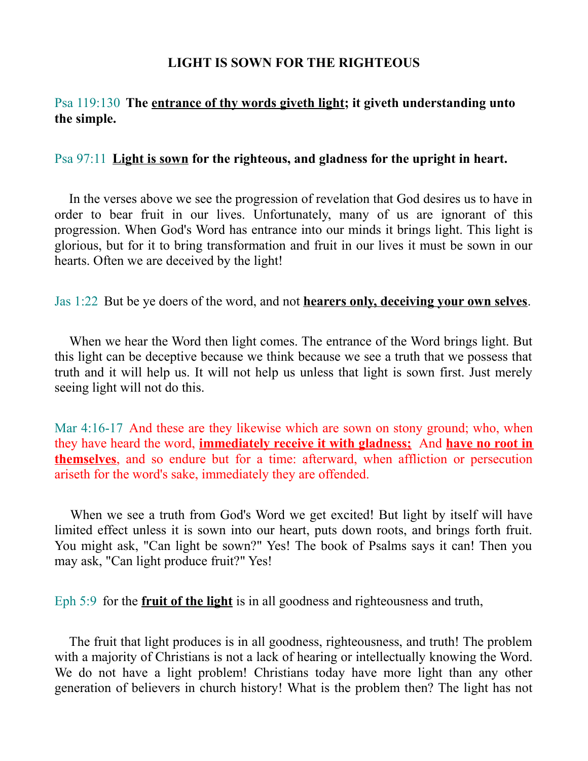## **LIGHT IS SOWN FOR THE RIGHTEOUS**

## Psa 119:130 **The entrance of thy words giveth light; it giveth understanding unto the simple.**

## Psa 97:11 **Light is sown for the righteous, and gladness for the upright in heart.**

In the verses above we see the progression of revelation that God desires us to have in order to bear fruit in our lives. Unfortunately, many of us are ignorant of this progression. When God's Word has entrance into our minds it brings light. This light is glorious, but for it to bring transformation and fruit in our lives it must be sown in our hearts. Often we are deceived by the light!

Jas 1:22 But be ye doers of the word, and not **hearers only, deceiving your own selves**.

When we hear the Word then light comes. The entrance of the Word brings light. But this light can be deceptive because we think because we see a truth that we possess that truth and it will help us. It will not help us unless that light is sown first. Just merely seeing light will not do this.

Mar 4:16-17 And these are they likewise which are sown on stony ground; who, when they have heard the word, **immediately receive it with gladness;** And **have no root in themselves**, and so endure but for a time: afterward, when affliction or persecution ariseth for the word's sake, immediately they are offended.

When we see a truth from God's Word we get excited! But light by itself will have limited effect unless it is sown into our heart, puts down roots, and brings forth fruit. You might ask, "Can light be sown?" Yes! The book of Psalms says it can! Then you may ask, "Can light produce fruit?" Yes!

Eph 5:9 for the **fruit of the light** is in all goodness and righteousness and truth,

The fruit that light produces is in all goodness, righteousness, and truth! The problem with a majority of Christians is not a lack of hearing or intellectually knowing the Word. We do not have a light problem! Christians today have more light than any other generation of believers in church history! What is the problem then? The light has not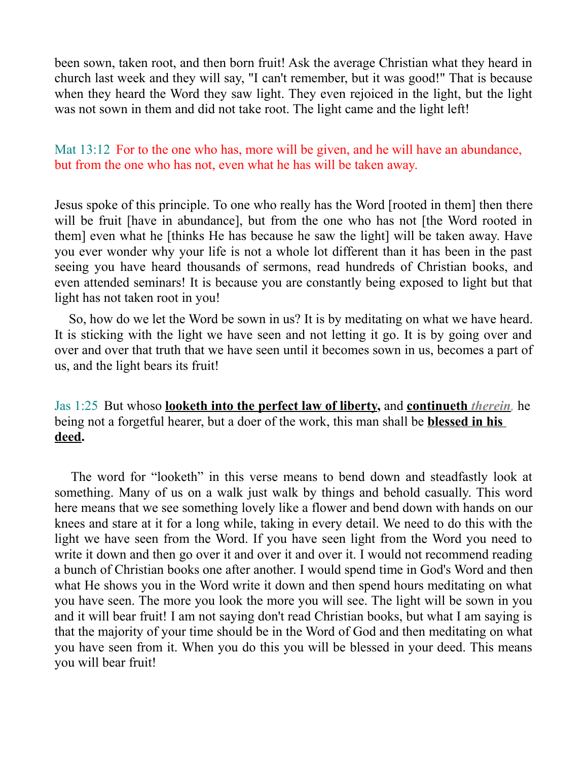been sown, taken root, and then born fruit! Ask the average Christian what they heard in church last week and they will say, "I can't remember, but it was good!" That is because when they heard the Word they saw light. They even rejoiced in the light, but the light was not sown in them and did not take root. The light came and the light left!

Mat 13:12 For to the one who has, more will be given, and he will have an abundance, but from the one who has not, even what he has will be taken away.

Jesus spoke of this principle. To one who really has the Word [rooted in them] then there will be fruit [have in abundance], but from the one who has not [the Word rooted in them] even what he [thinks He has because he saw the light] will be taken away. Have you ever wonder why your life is not a whole lot different than it has been in the past seeing you have heard thousands of sermons, read hundreds of Christian books, and even attended seminars! It is because you are constantly being exposed to light but that light has not taken root in you!

So, how do we let the Word be sown in us? It is by meditating on what we have heard. It is sticking with the light we have seen and not letting it go. It is by going over and over and over that truth that we have seen until it becomes sown in us, becomes a part of us, and the light bears its fruit!

Jas 1:25 But whoso **looketh into the perfect law of liberty,** and **continueth** *therein,* he being not a forgetful hearer, but a doer of the work, this man shall be **blessed in his deed.**

The word for "looketh" in this verse means to bend down and steadfastly look at something. Many of us on a walk just walk by things and behold casually. This word here means that we see something lovely like a flower and bend down with hands on our knees and stare at it for a long while, taking in every detail. We need to do this with the light we have seen from the Word. If you have seen light from the Word you need to write it down and then go over it and over it and over it. I would not recommend reading a bunch of Christian books one after another. I would spend time in God's Word and then what He shows you in the Word write it down and then spend hours meditating on what you have seen. The more you look the more you will see. The light will be sown in you and it will bear fruit! I am not saying don't read Christian books, but what I am saying is that the majority of your time should be in the Word of God and then meditating on what you have seen from it. When you do this you will be blessed in your deed. This means you will bear fruit!